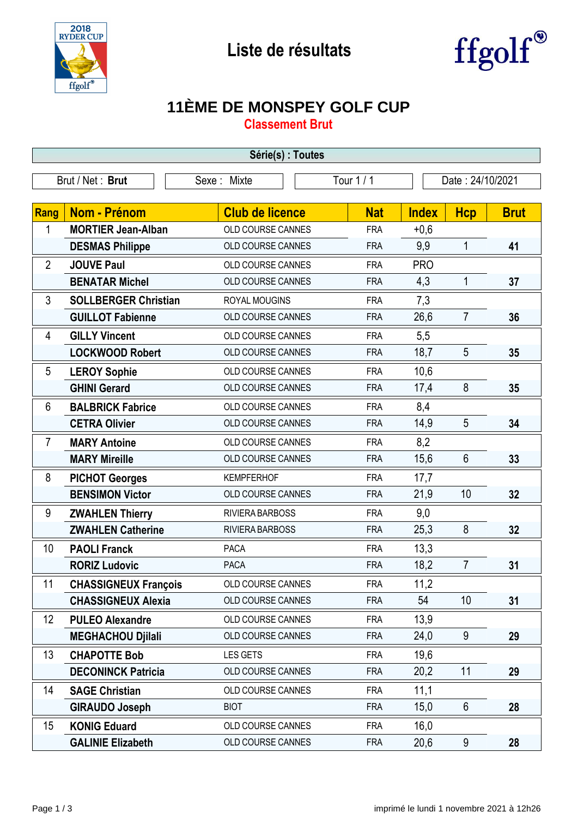



## **11ÈME DE MONSPEY GOLF CUP**

**Classement Brut**

| Série(s) : Toutes               |                             |                          |            |                  |                |             |  |
|---------------------------------|-----------------------------|--------------------------|------------|------------------|----------------|-------------|--|
| Brut / Net: Brut<br>Sexe: Mixte |                             |                          | Tour 1 / 1 | Date: 24/10/2021 |                |             |  |
|                                 |                             |                          |            |                  |                |             |  |
| <b>Rang</b>                     | <b>Nom - Prénom</b>         | <b>Club de licence</b>   | <b>Nat</b> | <b>Index</b>     | <b>Hcp</b>     | <b>Brut</b> |  |
| 1                               | <b>MORTIER Jean-Alban</b>   | OLD COURSE CANNES        | <b>FRA</b> | $+0,6$           |                |             |  |
|                                 | <b>DESMAS Philippe</b>      | OLD COURSE CANNES        | <b>FRA</b> | 9,9              | $\mathbf{1}$   | 41          |  |
| $\overline{2}$                  | <b>JOUVE Paul</b>           | <b>OLD COURSE CANNES</b> | <b>FRA</b> | <b>PRO</b>       |                |             |  |
|                                 | <b>BENATAR Michel</b>       | OLD COURSE CANNES        | <b>FRA</b> | 4,3              | $\mathbf{1}$   | 37          |  |
| 3                               | <b>SOLLBERGER Christian</b> | ROYAL MOUGINS            | <b>FRA</b> | 7,3              |                |             |  |
|                                 | <b>GUILLOT Fabienne</b>     | OLD COURSE CANNES        | <b>FRA</b> | 26,6             | $\overline{7}$ | 36          |  |
| 4                               | <b>GILLY Vincent</b>        | OLD COURSE CANNES        | <b>FRA</b> | 5,5              |                |             |  |
|                                 | <b>LOCKWOOD Robert</b>      | OLD COURSE CANNES        | <b>FRA</b> | 18,7             | 5              | 35          |  |
| 5                               | <b>LEROY Sophie</b>         | OLD COURSE CANNES        | <b>FRA</b> | 10,6             |                |             |  |
|                                 | <b>GHINI Gerard</b>         | OLD COURSE CANNES        | <b>FRA</b> | 17,4             | 8              | 35          |  |
| 6                               | <b>BALBRICK Fabrice</b>     | OLD COURSE CANNES        | <b>FRA</b> | 8,4              |                |             |  |
|                                 | <b>CETRA Olivier</b>        | OLD COURSE CANNES        | <b>FRA</b> | 14,9             | 5              | 34          |  |
| $\overline{7}$                  | <b>MARY Antoine</b>         | OLD COURSE CANNES        | <b>FRA</b> | 8,2              |                |             |  |
|                                 | <b>MARY Mireille</b>        | OLD COURSE CANNES        | <b>FRA</b> | 15,6             | $6\phantom{1}$ | 33          |  |
| 8                               | <b>PICHOT Georges</b>       | <b>KEMPFERHOF</b>        | <b>FRA</b> | 17,7             |                |             |  |
|                                 | <b>BENSIMON Victor</b>      | OLD COURSE CANNES        | <b>FRA</b> | 21,9             | 10             | 32          |  |
| 9                               | <b>ZWAHLEN Thierry</b>      | RIVIERA BARBOSS          | <b>FRA</b> | 9,0              |                |             |  |
|                                 | <b>ZWAHLEN Catherine</b>    | RIVIERA BARBOSS          | <b>FRA</b> | 25,3             | 8              | 32          |  |
| 10                              | <b>PAOLI Franck</b>         | <b>PACA</b>              | <b>FRA</b> | 13,3             |                |             |  |
|                                 | <b>RORIZ Ludovic</b>        | PACA                     | <b>FRA</b> | 18,2             | $\overline{7}$ | 31          |  |
| 11                              | <b>CHASSIGNEUX François</b> | OLD COURSE CANNES        | <b>FRA</b> | 11,2             |                |             |  |
|                                 | <b>CHASSIGNEUX Alexia</b>   | OLD COURSE CANNES        | <b>FRA</b> | 54               | 10             | 31          |  |
| 12                              | <b>PULEO Alexandre</b>      | <b>OLD COURSE CANNES</b> | <b>FRA</b> | 13,9             |                |             |  |
|                                 | <b>MEGHACHOU Djilali</b>    | OLD COURSE CANNES        | <b>FRA</b> | 24,0             | 9              | 29          |  |
| 13                              | <b>CHAPOTTE Bob</b>         | <b>LES GETS</b>          | <b>FRA</b> | 19,6             |                |             |  |
|                                 | <b>DECONINCK Patricia</b>   | OLD COURSE CANNES        | <b>FRA</b> | 20,2             | 11             | 29          |  |
| 14                              | <b>SAGE Christian</b>       | OLD COURSE CANNES        | <b>FRA</b> | 11,1             |                |             |  |
|                                 | <b>GIRAUDO Joseph</b>       | <b>BIOT</b>              | <b>FRA</b> | 15,0             | $6\phantom{1}$ | 28          |  |
| 15                              | <b>KONIG Eduard</b>         | OLD COURSE CANNES        | <b>FRA</b> | 16,0             |                |             |  |
|                                 | <b>GALINIE Elizabeth</b>    | OLD COURSE CANNES        | <b>FRA</b> | 20,6             | 9              | 28          |  |

-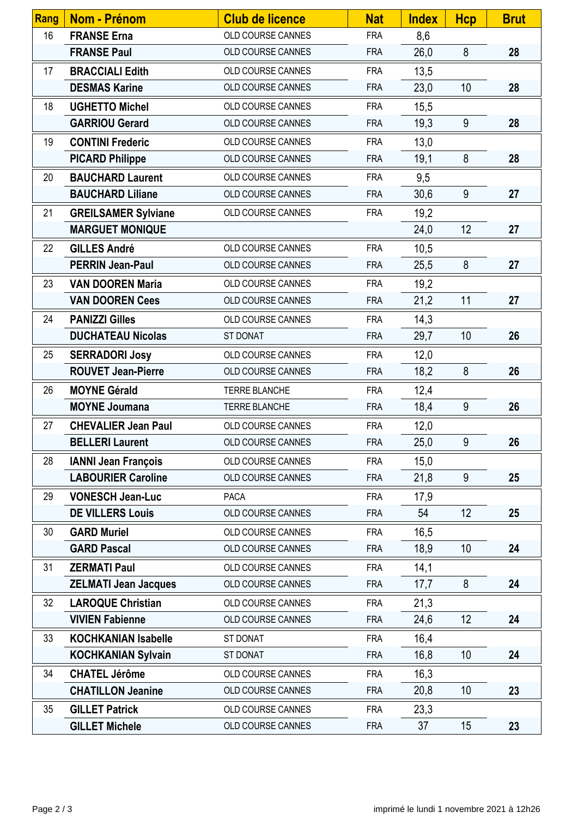| Rang | Nom - Prénom                | <b>Club de licence</b> | <b>Nat</b> | <b>Index</b> | <b>Hcp</b>      | <b>Brut</b> |
|------|-----------------------------|------------------------|------------|--------------|-----------------|-------------|
| 16   | <b>FRANSE Erna</b>          | OLD COURSE CANNES      | <b>FRA</b> | 8,6          |                 |             |
|      | <b>FRANSE Paul</b>          | OLD COURSE CANNES      | <b>FRA</b> | 26,0         | 8               | 28          |
| 17   | <b>BRACCIALI Edith</b>      | OLD COURSE CANNES      | <b>FRA</b> | 13,5         |                 |             |
|      | <b>DESMAS Karine</b>        | OLD COURSE CANNES      | <b>FRA</b> | 23,0         | 10              | 28          |
| 18   | <b>UGHETTO Michel</b>       | OLD COURSE CANNES      | <b>FRA</b> | 15,5         |                 |             |
|      | <b>GARRIOU Gerard</b>       | OLD COURSE CANNES      | <b>FRA</b> | 19,3         | 9               | 28          |
| 19   | <b>CONTINI Frederic</b>     | OLD COURSE CANNES      | <b>FRA</b> | 13,0         |                 |             |
|      | <b>PICARD Philippe</b>      | OLD COURSE CANNES      | <b>FRA</b> | 19,1         | 8               | 28          |
| 20   | <b>BAUCHARD Laurent</b>     | OLD COURSE CANNES      | <b>FRA</b> | 9,5          |                 |             |
|      | <b>BAUCHARD Liliane</b>     | OLD COURSE CANNES      | <b>FRA</b> | 30,6         | 9               | 27          |
| 21   | <b>GREILSAMER Sylviane</b>  | OLD COURSE CANNES      | <b>FRA</b> | 19,2         |                 |             |
|      | <b>MARGUET MONIQUE</b>      |                        |            | 24,0         | 12              | 27          |
| 22   | <b>GILLES André</b>         | OLD COURSE CANNES      | <b>FRA</b> | 10,5         |                 |             |
|      | <b>PERRIN Jean-Paul</b>     | OLD COURSE CANNES      | <b>FRA</b> | 25,5         | 8               | 27          |
| 23   | <b>VAN DOOREN Maria</b>     | OLD COURSE CANNES      | <b>FRA</b> | 19,2         |                 |             |
|      | <b>VAN DOOREN Cees</b>      | OLD COURSE CANNES      | <b>FRA</b> | 21,2         | 11              | 27          |
| 24   | <b>PANIZZI Gilles</b>       | OLD COURSE CANNES      | <b>FRA</b> | 14,3         |                 |             |
|      | <b>DUCHATEAU Nicolas</b>    | <b>ST DONAT</b>        | <b>FRA</b> | 29,7         | 10 <sup>°</sup> | 26          |
| 25   | <b>SERRADORI Josy</b>       | OLD COURSE CANNES      | <b>FRA</b> | 12,0         |                 |             |
|      | <b>ROUVET Jean-Pierre</b>   | OLD COURSE CANNES      | <b>FRA</b> | 18,2         | 8               | 26          |
| 26   | <b>MOYNE Gérald</b>         | TERRE BLANCHE          | <b>FRA</b> | 12,4         |                 |             |
|      | <b>MOYNE Joumana</b>        | TERRE BLANCHE          | <b>FRA</b> | 18,4         | 9               | 26          |
| 27   | <b>CHEVALIER Jean Paul</b>  | OLD COURSE CANNES      | <b>FRA</b> | 12,0         |                 |             |
|      | <b>BELLERI Laurent</b>      | OLD COURSE CANNES      | <b>FRA</b> | 25,0         | 9               | 26          |
| 28   | <b>IANNI Jean François</b>  | OLD COURSE CANNES      | <b>FRA</b> | 15,0         |                 |             |
|      | <b>LABOURIER Caroline</b>   | OLD COURSE CANNES      | <b>FRA</b> | 21,8         | 9               | 25          |
| 29   | <b>VONESCH Jean-Luc</b>     | <b>PACA</b>            | <b>FRA</b> | 17,9         |                 |             |
|      | <b>DE VILLERS Louis</b>     | OLD COURSE CANNES      | <b>FRA</b> | 54           | 12              | 25          |
| 30   | <b>GARD Muriel</b>          | OLD COURSE CANNES      | <b>FRA</b> | 16,5         |                 |             |
|      | <b>GARD Pascal</b>          | OLD COURSE CANNES      | <b>FRA</b> | 18,9         | 10              | 24          |
| 31   | <b>ZERMATI Paul</b>         | OLD COURSE CANNES      | <b>FRA</b> | 14,1         |                 |             |
|      | <b>ZELMATI Jean Jacques</b> | OLD COURSE CANNES      | <b>FRA</b> | 17,7         | 8               | 24          |
| 32   | <b>LAROQUE Christian</b>    | OLD COURSE CANNES      | <b>FRA</b> | 21,3         |                 |             |
|      | <b>VIVIEN Fabienne</b>      | OLD COURSE CANNES      | <b>FRA</b> | 24,6         | 12              | 24          |
| 33   | <b>KOCHKANIAN Isabelle</b>  | ST DONAT               | <b>FRA</b> | 16,4         |                 |             |
|      | <b>KOCHKANIAN Sylvain</b>   | ST DONAT               | <b>FRA</b> | 16,8         | 10              | 24          |
| 34   | <b>CHATEL Jérôme</b>        | OLD COURSE CANNES      | <b>FRA</b> | 16,3         |                 |             |
|      | <b>CHATILLON Jeanine</b>    | OLD COURSE CANNES      | <b>FRA</b> | 20,8         | 10              | 23          |
| 35   | <b>GILLET Patrick</b>       | OLD COURSE CANNES      | <b>FRA</b> | 23,3         |                 |             |
|      | <b>GILLET Michele</b>       | OLD COURSE CANNES      | <b>FRA</b> | 37           | 15              | 23          |